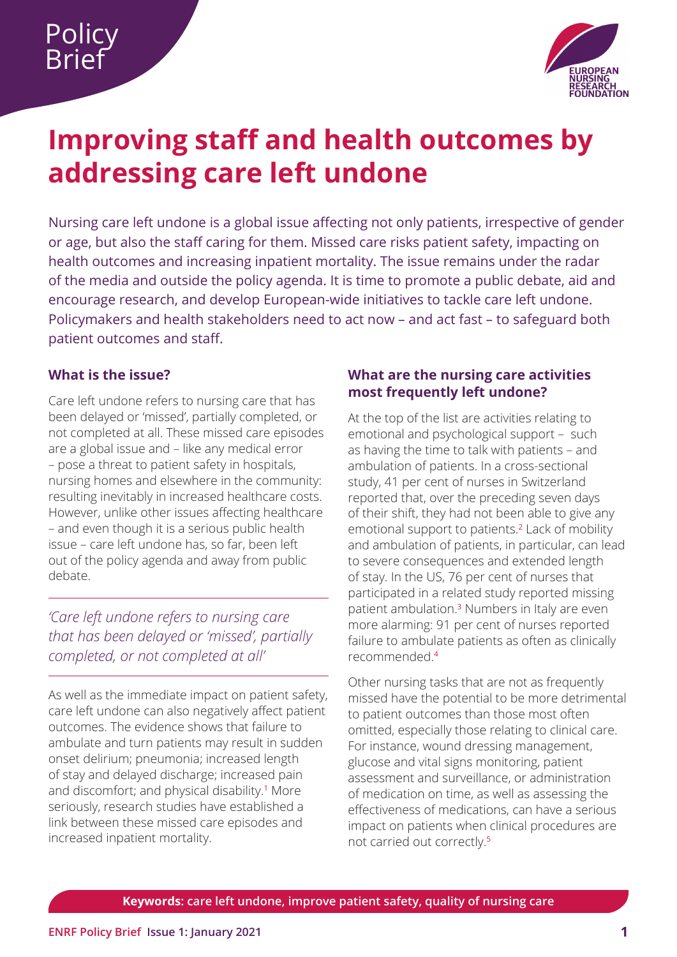

# <span id="page-0-0"></span>**Improving staff and health outcomes by addressing care left undone**

Nursing care left undone is a global issue affecting not only patients, irrespective of gender or age, but also the staff caring for them. Missed care risks patient safety, impacting on health outcomes and increasing inpatient mortality. The issue remains under the radar of the media and outside the policy agenda. It is time to promote a public debate, aid and encourage research, and develop European-wide initiatives to tackle care left undone. Policymakers and health stakeholders need to act now – and act fast – to safeguard both patient outcomes and staff.

# **What is the issue?**

Care left undone refers to nursing care that has been delayed or 'missed', partially completed, or not completed at all. These missed care episodes are a global issue and – like any medical error – pose a threat to patient safety in hospitals, nursing homes and elsewhere in the community: resulting inevitably in increased healthcare costs. However, unlike other issues affecting healthcare – and even though it is a serious public health issue – care left undone has, so far, been left out of the policy agenda and away from public debate.

*'Care left undone refers to nursing care that has been delayed or 'missed', partially completed, or not completed at all'*

As well as the immediate impact on patient safety, care left undone can also negatively affect patient outcomes. The evidence shows that failure to ambulate and turn patients may result in sudden onset delirium; pneumonia; increased length of stay and delayed discharge; increased pain and discomfort; and physical disability.<sup>[1](#page-3-0)</sup> More seriously, research studies have established a link between these missed care episodes and increased inpatient mortality.

## **What are the nursing care activities most frequently left undone?**

At the top of the list are activities relating to emotional and psychological support – such as having the time to talk with patients – and ambulation of patients. In a cross-sectional study, 41 per cent of nurses in Switzerland reported that, over the preceding seven days of their shift, they had not been able to give any emotional support to patients.<sup>[2](#page-3-0)</sup> Lack of mobility and ambulation of patients, in particular, can lead to severe consequences and extended length of stay. In the US, 76 per cent of nurses that participated in a related study reported missing patient ambulation.[3](#page-3-0) Numbers in Italy are even more alarming: 91 per cent of nurses reported failure to ambulate patients as often as clinically recommended.[4](#page-3-0)

Other nursing tasks that are not as frequently missed have the potential to be more detrimental to patient outcomes than those most often omitted, especially those relating to clinical care. For instance, wound dressing management, glucose and vital signs monitoring, patient assessment and surveillance, or administration of medication on time, as well as assessing the effectiveness of medications, can have a serious impact on patients when clinical procedures are not carried out correctly.[5](#page-3-0)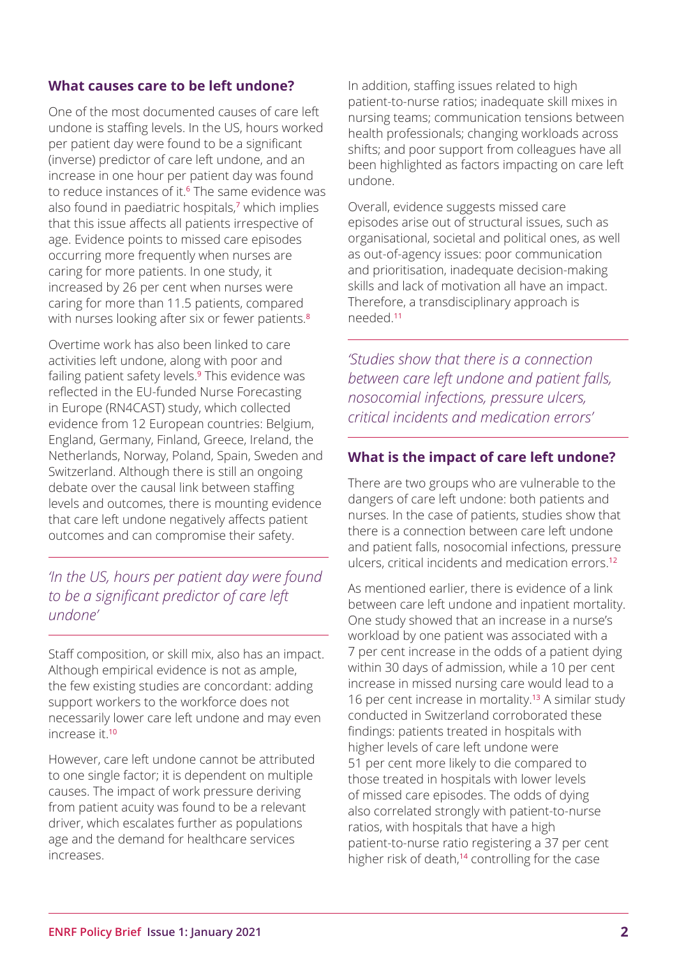#### **What causes care to be left undone?**

One of the most documented causes of care left undone is staffing levels. In the US, hours worked per patient day were found to be a significant (inverse) predictor of care left undone, and an increase in one hour per patient day was found to reduce instances of it.<sup>6</sup> The same evidence was also found in paediatric hospitals,<sup>7</sup> which implies that this issue affects all patients irrespective of age. Evidence points to missed care episodes occurring more frequently when nurses are caring for more patients. In one study, it increased by 26 per cent when nurses were caring for more than 11.5 patients, compared with nurses looking after six or fewer patients.<sup>8</sup>

Overtime work has also been linked to care activities left undone, along with poor and failing patient safety levels.<sup>9</sup> This evidence was reflected in the EU-funded Nurse Forecasting in Europe (RN4CAST) study, which collected evidence from 12 European countries: Belgium, England, Germany, Finland, Greece, Ireland, the Netherlands, Norway, Poland, Spain, Sweden and Switzerland. Although there is still an ongoing debate over the causal link between staffing levels and outcomes, there is mounting evidence that care left undone negatively affects patient outcomes and can compromise their safety.

# *'In the US, hours per patient day were found to be a significant predictor of care left undone'*

Staff composition, or skill mix, also has an impact. Although empirical evidence is not as ample, the few existing studies are concordant: adding support workers to the workforce does not necessarily lower care left undone and may even increase it.<sup>10</sup>

However, care left undone cannot be attributed to one single factor; it is dependent on multiple causes. The impact of work pressure deriving from patient acuity was found to be a relevant driver, which escalates further as populations age and the demand for healthcare services increases.

In addition, staffing issues related to high patient-to-nurse ratios; inadequate skill mixes in nursing teams; communication tensions between health professionals; changing workloads across shifts; and poor support from colleagues have all been highlighted as factors impacting on care left undone.

Overall, evidence suggests missed care episodes arise out of structural issues, such as organisational, societal and political ones, as well as out-of-agency issues: poor communication and prioritisation, inadequate decision-making skills and lack of motivation all have an impact. Therefore, a transdisciplinary approach is needed.<sup>11</sup>

*'Studies show that there is a connection between care left undone and patient falls, nosocomial infections, pressure ulcers, critical incidents and medication errors'*

#### **What is the impact of care left undone?**

There are two groups who are vulnerable to the dangers of care left undone: both patients and nurses. In the case of patients, studies show that there is a connection between care left undone and patient falls, nosocomial infections, pressure ulcers, critical incidents and medication errors.<sup>12</sup>

As mentioned earlier, there is evidence of a link between care left undone and inpatient mortality. One study showed that an increase in a nurse's workload by one patient was associated with a 7 per cent increase in the odds of a patient dying within 30 days of admission, while a 10 per cent increase in missed nursing care would lead to a 16 per cent increase in mortality.<sup>13</sup> A similar study conducted in Switzerland corroborated these findings: patients treated in hospitals with higher levels of care left undone were 51 per cent more likely to die compared to those treated in hospitals with lower levels of missed care episodes. The odds of dying also correlated strongly with patient-to-nurse ratios, with hospitals that have a high patient-to-nurse ratio registering a 37 per cent higher risk of death,<sup>14</sup> controlling for the case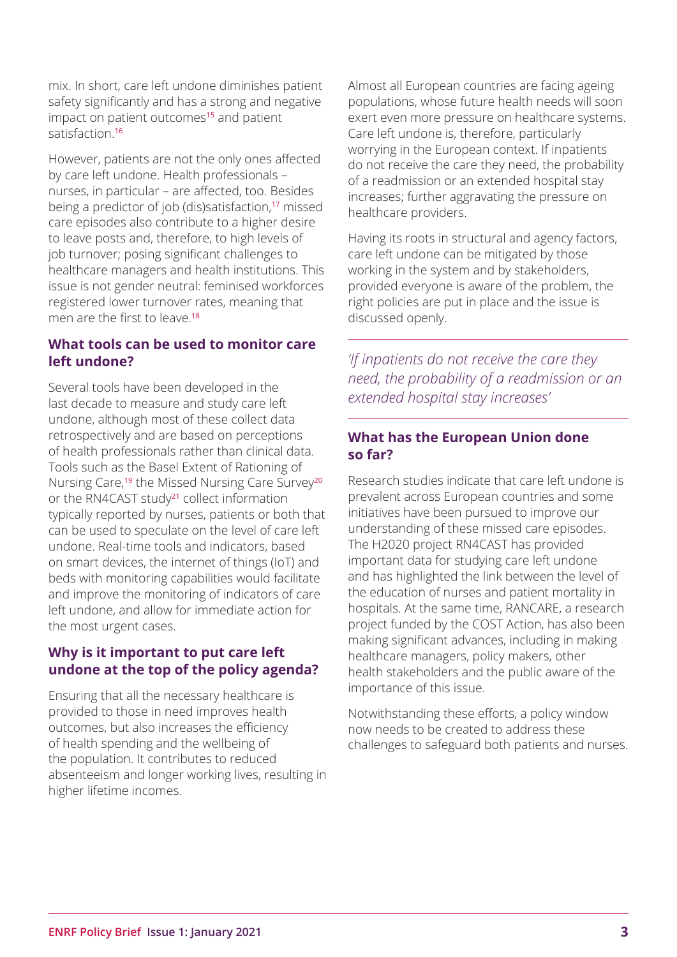mix. In short, care left undone diminishes patient safety significantly and has a strong and negative impact on patient outcomes<sup>15</sup> and patient satisfaction<sup>16</sup>

However, patients are not the only ones affected by care left undone. Health professionals – nurses, in particular – are affected, too. Besides being a predictor of job (dis)satisfaction,<sup>17</sup> missed care episodes also contribute to a higher desire to leave posts and, therefore, to high levels of job turnover; posing significant challenges to healthcare managers and health institutions. This issue is not gender neutral: feminised workforces registered lower turnover rates, meaning that men are the first to leave.<sup>18</sup>

### **What tools can be used to monitor care left undone?**

Several tools have been developed in the last decade to measure and study care left undone, although most of these collect data retrospectively and are based on perceptions of health professionals rather than clinical data. Tools such as the Basel Extent of Rationing of Nursing Care,<sup>19</sup> the Missed Nursing Care Survey<sup>20</sup> or the RN4CAST study<sup>21</sup> collect information typically reported by nurses, patients or both that can be used to speculate on the level of care left undone. Real-time tools and indicators, based on smart devices, the internet of things (IoT) and beds with monitoring capabilities would facilitate and improve the monitoring of indicators of care left undone, and allow for immediate action for the most urgent cases.

# **Why is it important to put care left undone at the top of the policy agenda?**

Ensuring that all the necessary healthcare is provided to those in need improves health outcomes, but also increases the efficiency of health spending and the wellbeing of the population. It contributes to reduced absenteeism and longer working lives, resulting in higher lifetime incomes.

Almost all European countries are facing ageing populations, whose future health needs will soon exert even more pressure on healthcare systems. Care left undone is, therefore, particularly worrying in the European context. If inpatients do not receive the care they need, the probability of a readmission or an extended hospital stay increases; further aggravating the pressure on healthcare providers.

Having its roots in structural and agency factors, care left undone can be mitigated by those working in the system and by stakeholders, provided everyone is aware of the problem, the right policies are put in place and the issue is discussed openly.

*'If inpatients do not receive the care they need, the probability of a readmission or an extended hospital stay increases'*

## **What has the European Union done so far?**

Research studies indicate that care left undone is prevalent across European countries and some initiatives have been pursued to improve our understanding of these missed care episodes. The H2020 project RN4CAST has provided important data for studying care left undone and has highlighted the link between the level of the education of nurses and patient mortality in hospitals. At the same time, RANCARE, a research project funded by the COST Action, has also been making significant advances, including in making healthcare managers, policy makers, other health stakeholders and the public aware of the importance of this issue.

Notwithstanding these efforts, a policy window now needs to be created to address these challenges to safeguard both patients and nurses.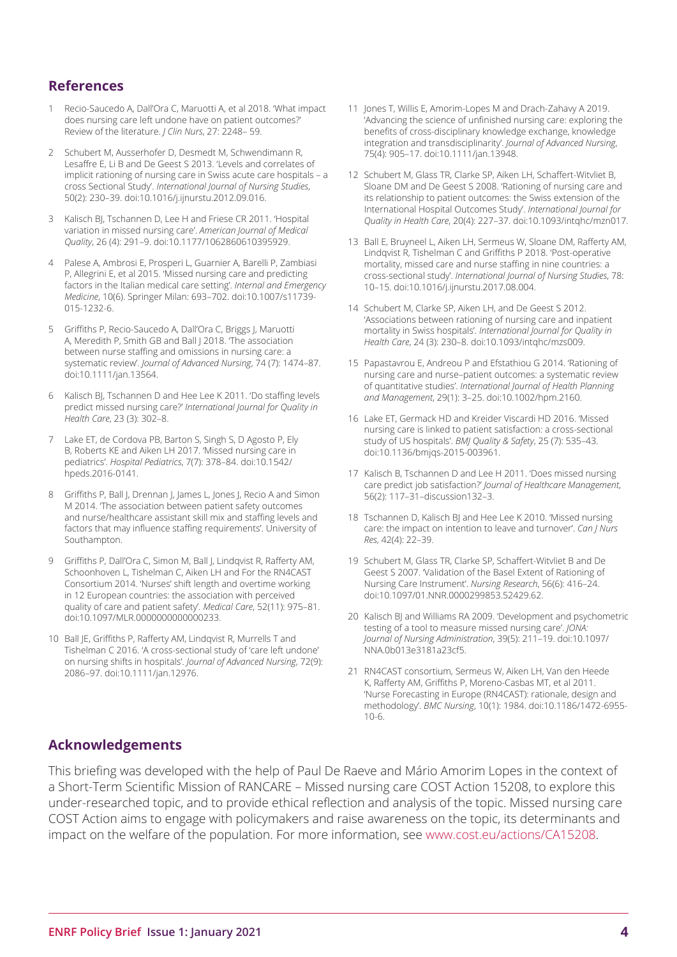#### <span id="page-3-0"></span>**References**

- [1](#page-0-0) Recio-Saucedo A, Dall'Ora C, Maruotti A, et al 2018. 'What impact does nursing care left undone have on patient outcomes?' Review of the literature. *J Clin Nurs*, 27: 2248– 59.
- [2](#page-0-0) Schubert M, Ausserhofer D, Desmedt M, Schwendimann R, Lesaffre E, Li B and De Geest S 2013. 'Levels and correlates of implicit rationing of nursing care in Swiss acute care hospitals – a cross Sectional Study'. *International Journal of Nursing Studies*, 50(2): 230–39. doi:10.1016/j.ijnurstu.2012.09.016.
- [3](#page-0-0) Kalisch BJ, Tschannen D, Lee H and Friese CR 2011. 'Hospital variation in missed nursing care'. *American Journal of Medical Quality*, 26 (4): 291–9. doi:10.1177/1062860610395929.
- [4](#page-0-0) Palese A, Ambrosi E, Prosperi L, Guarnier A, Barelli P, Zambiasi P, Allegrini E, et al 2015. 'Missed nursing care and predicting factors in the Italian medical care setting'. *Internal and Emergency Medicine*, 10(6). Springer Milan: 693–702. doi:10.1007/s11739- 015-1232-6.
- [5](#page-0-0) Griffiths P, Recio-Saucedo A, Dall'Ora C, Briggs J, Maruotti A, Meredith P, Smith GB and Ball J 2018. 'The association between nurse staffing and omissions in nursing care: a systematic review'. *Journal of Advanced Nursing*, 74 (7): 1474–87. doi:10.1111/jan.13564.
- Kalisch BJ, Tschannen D and Hee Lee K 2011. 'Do staffing levels predict missed nursing care?' *International Journal for Quality in Health Care*, 23 (3): 302–8.
- 7 Lake ET, de Cordova PB, Barton S, Singh S, D Agosto P, Ely B, Roberts KE and Aiken LH 2017. 'Missed nursing care in pediatrics'. *Hospital Pediatrics*, 7(7): 378–84. doi:10.1542/ hpeds.2016-0141.
- 8 Griffiths P, Ball I, Drennan I, James L, Jones J, Recio A and Simon M 2014. 'The association between patient safety outcomes and nurse/healthcare assistant skill mix and staffing levels and factors that may influence staffing requirements'. University of Southampton.
- 9 Griffiths P, Dall'Ora C, Simon M, Ball J, Lindqvist R, Rafferty AM, Schoonhoven L, Tishelman C, Aiken LH and For the RN4CAST Consortium 2014. 'Nurses' shift length and overtime working in 12 European countries: the association with perceived quality of care and patient safety'. *Medical Care*, 52(11): 975–81. doi:10.1097/MLR.0000000000000233.
- 10 Ball JE, Griffiths P, Rafferty AM, Lindqvist R, Murrells T and Tishelman C 2016. 'A cross-sectional study of 'care left undone' on nursing shifts in hospitals'. *Journal of Advanced Nursing*, 72(9): 2086–97. doi:10.1111/jan.12976.
- 11 Jones T, Willis E, Amorim-Lopes M and Drach-Zahavy A 2019. 'Advancing the science of unfinished nursing care: exploring the benefits of cross-disciplinary knowledge exchange, knowledge integration and transdisciplinarity'. *Journal of Advanced Nursing*, 75(4): 905–17. doi:10.1111/jan.13948.
- 12 Schubert M, Glass TR, Clarke SP, Aiken LH, Schaffert-Witvliet B, Sloane DM and De Geest S 2008. 'Rationing of nursing care and its relationship to patient outcomes: the Swiss extension of the International Hospital Outcomes Study'. *International Journal for Quality in Health Care*, 20(4): 227–37. doi:10.1093/intqhc/mzn017.
- 13 Ball E, Bruyneel L, Aiken LH, Sermeus W, Sloane DM, Rafferty AM, Lindqvist R, Tishelman C and Griffiths P 2018. 'Post-operative mortality, missed care and nurse staffing in nine countries: a cross-sectional study'. *International Journal of Nursing Studies*, 78: 10–15. doi:10.1016/j.ijnurstu.2017.08.004.
- 14 Schubert M, Clarke SP, Aiken LH, and De Geest S 2012. 'Associations between rationing of nursing care and inpatient mortality in Swiss hospitals'. *International Journal for Quality in Health Care*, 24 (3): 230–8. doi:10.1093/intqhc/mzs009.
- 15 Papastavrou E, Andreou P and Efstathiou G 2014. 'Rationing of nursing care and nurse–patient outcomes: a systematic review of quantitative studies'. *International Journal of Health Planning and Management*, 29(1): 3–25. doi:10.1002/hpm.2160.
- 16 Lake ET, Germack HD and Kreider Viscardi HD 2016. 'Missed nursing care is linked to patient satisfaction: a cross-sectional study of US hospitals'. *BMJ Quality & Safety*, 25 (7): 535–43. doi:10.1136/bmjqs-2015-003961.
- 17 Kalisch B, Tschannen D and Lee H 2011. 'Does missed nursing care predict job satisfaction?' *Journal of Healthcare Management*, 56(2): 117–31–discussion132–3.
- 18 Tschannen D, Kalisch BJ and Hee Lee K 2010. 'Missed nursing care: the impact on intention to leave and turnover'. *Can J Nurs Res*, 42(4): 22–39.
- 19 Schubert M, Glass TR, Clarke SP, Schaffert-Witvliet B and De Geest S 2007. 'Validation of the Basel Extent of Rationing of Nursing Care Instrument'. *Nursing Research*, 56(6): 416–24. doi:10.1097/01.NNR.0000299853.52429.62.
- 20 Kalisch BJ and Williams RA 2009. 'Development and psychometric testing of a tool to measure missed nursing care'. *JONA: Journal of Nursing Administration*, 39(5): 211–19. doi:10.1097/ NNA.0b013e3181a23cf5.
- 21 RN4CAST consortium, Sermeus W, Aiken LH, Van den Heede K, Rafferty AM, Griffiths P, Moreno-Casbas MT, et al 2011. 'Nurse Forecasting in Europe (RN4CAST): rationale, design and methodology'. *BMC Nursing*, 10(1): 1984. doi:10.1186/1472-6955- 10-6.

#### **Acknowledgements**

This briefing was developed with the help of Paul De Raeve and Mário Amorim Lopes in the context of a Short-Term Scientific Mission of RANCARE – Missed nursing care COST Action 15208, to explore this under-researched topic, and to provide ethical reflection and analysis of the topic. Missed nursing care COST Action aims to engage with policymakers and raise awareness on the topic, its determinants and impact on the welfare of the population. For more information, see [www.cost.eu/actions/CA15208](https://www.cost.eu/actions/CA15208).